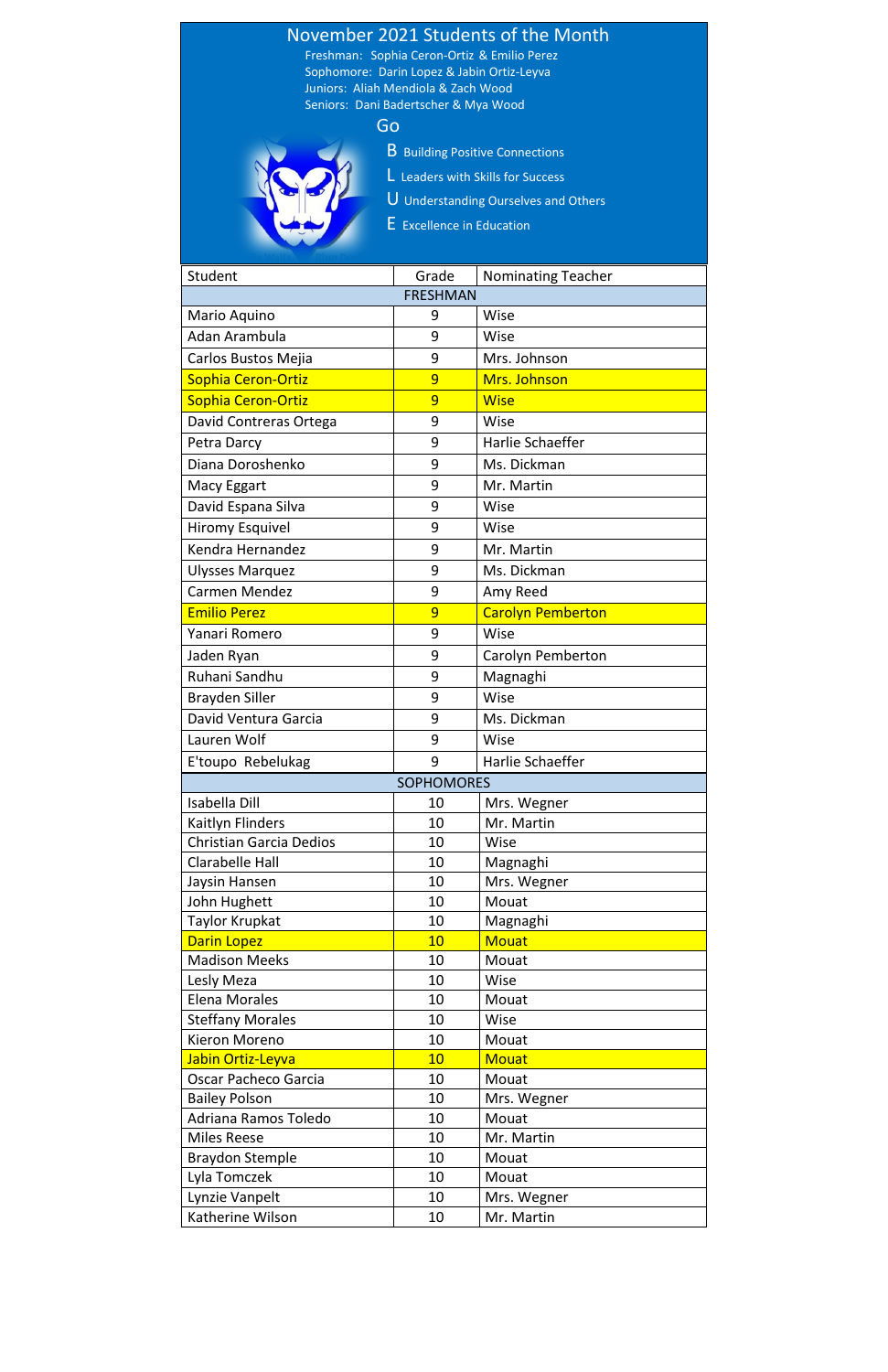

| Student                        | Grade           | <b>Nominating Teacher</b> |
|--------------------------------|-----------------|---------------------------|
|                                | <b>FRESHMAN</b> |                           |
| Mario Aquino                   | 9               | Wise                      |
| Adan Arambula                  | 9               | Wise                      |
| Carlos Bustos Mejia            | 9               | Mrs. Johnson              |
| Sophia Ceron-Ortiz             | 9               | Mrs. Johnson              |
| Sophia Ceron-Ortiz             | 9               | <b>Wise</b>               |
| David Contreras Ortega         | 9               | Wise                      |
| Petra Darcy                    | 9               | Harlie Schaeffer          |
| Diana Doroshenko               | 9               | Ms. Dickman               |
| <b>Macy Eggart</b>             | 9               | Mr. Martin                |
| David Espana Silva             | 9               | Wise                      |
| <b>Hiromy Esquivel</b>         | 9               | Wise                      |
| Kendra Hernandez               | 9               | Mr. Martin                |
| <b>Ulysses Marquez</b>         | 9               | Ms. Dickman               |
| <b>Carmen Mendez</b>           | 9               | Amy Reed                  |
| <b>Emilio Perez</b>            | 9               | <b>Carolyn Pemberton</b>  |
| Yanari Romero                  | 9               | Wise                      |
| Jaden Ryan                     | 9               | Carolyn Pemberton         |
| Ruhani Sandhu                  | 9               | Magnaghi                  |
| <b>Brayden Siller</b>          | 9               | Wise                      |
| David Ventura Garcia           | 9               | Ms. Dickman               |
| Lauren Wolf                    | 9               | Wise                      |
|                                |                 |                           |
| E'toupo Rebelukag              | 9               | Harlie Schaeffer          |
| <b>SOPHOMORES</b>              |                 |                           |
| <b>Isabella Dill</b>           | 10              | Mrs. Wegner               |
| Kaitlyn Flinders               | 10              | Mr. Martin                |
| <b>Christian Garcia Dedios</b> | 10              | Wise                      |
| <b>Clarabelle Hall</b>         | 10              | Magnaghi                  |
| Jaysin Hansen                  | 10              | Mrs. Wegner<br>Mouat      |
| John Hughett<br>Taylor Krupkat | 10<br>10        |                           |
| <b>Darin Lopez</b>             | 10              | Magnaghi<br><b>Mouat</b>  |
| <b>Madison Meeks</b>           | 10              | Mouat                     |
| Lesly Meza                     | 10              | Wise                      |
| <b>Elena Morales</b>           | 10              | Mouat                     |
| <b>Steffany Morales</b>        | 10              | Wise                      |
| Kieron Moreno                  | 10              | Mouat                     |
| Jabin Ortiz-Leyva              | 10              | <b>Mouat</b>              |
| <b>Oscar Pacheco Garcia</b>    | 10              | Mouat                     |
| <b>Bailey Polson</b>           | 10              | Mrs. Wegner               |
| Adriana Ramos Toledo           | 10              | Mouat                     |
| <b>Miles Reese</b>             | 10              | Mr. Martin                |
| <b>Braydon Stemple</b>         | 10              | Mouat                     |
| Lyla Tomczek                   | 10              | Mouat                     |
| Lynzie Vanpelt                 | 10              | Mrs. Wegner               |
| Katherine Wilson               | 10              | Mr. Martin                |